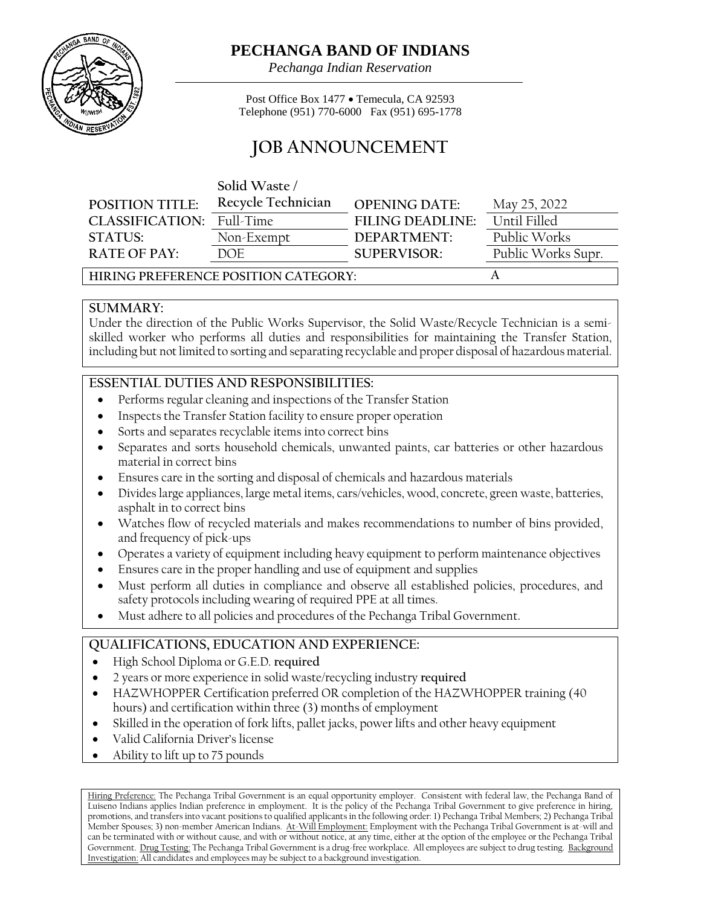

# **PECHANGA BAND OF INDIANS**

*Pechanga Indian Reservation*

Post Office Box 1477 • Temecula, CA 92593 Telephone (951) 770-6000 Fax (951) 695-1778

# **JOB ANNOUNCEMENT**

|                                      | Solid Waste        |                         |                    |
|--------------------------------------|--------------------|-------------------------|--------------------|
| <b>POSITION TITLE:</b>               | Recycle Technician | <b>OPENING DATE:</b>    | May 25, 2022       |
| CLASSIFICATION:                      | Full-Time          | <b>FILING DEADLINE:</b> | Until Filled       |
| <b>STATUS:</b>                       | Non-Exempt         | DEPARTMENT:             | Public Works       |
| <b>RATE OF PAY:</b>                  | DOE.               | <b>SUPERVISOR:</b>      | Public Works Supr. |
| HIRING PREFERENCE POSITION CATEGORY: |                    |                         |                    |

#### **SUMMARY:**

Under the direction of the Public Works Supervisor, the Solid Waste/Recycle Technician is a semiskilled worker who performs all duties and responsibilities for maintaining the Transfer Station, including but not limited to sorting and separating recyclable and proper disposal of hazardous material.

# **ESSENTIAL DUTIES AND RESPONSIBILITIES:**

- Performs regular cleaning and inspections of the Transfer Station
- Inspects the Transfer Station facility to ensure proper operation
- Sorts and separates recyclable items into correct bins
- Separates and sorts household chemicals, unwanted paints, car batteries or other hazardous material in correct bins
- Ensures care in the sorting and disposal of chemicals and hazardous materials
- Divideslarge appliances, large metal items, cars/vehicles, wood, concrete, green waste, batteries, asphalt in to correct bins
- Watches flow of recycled materials and makes recommendations to number of bins provided, and frequency of pick-ups
- Operates a variety of equipment including heavy equipment to perform maintenance objectives
- Ensures care in the proper handling and use of equipment and supplies
- Must perform all duties in compliance and observe all established policies, procedures, and safety protocols including wearing of required PPE at all times.
- Must adhere to all policies and procedures of the Pechanga Tribal Government.

## **QUALIFICATIONS, EDUCATION AND EXPERIENCE:**

- High School Diploma or G.E.D. **required**
- 2 years or more experience in solid waste/recycling industry **required**
- HAZWHOPPER Certification preferred OR completion of the HAZWHOPPER training (40) hours) and certification within three (3) months of employment
- Skilled in the operation of fork lifts, pallet jacks, power lifts and other heavy equipment
- Valid California Driver's license
- Ability to lift up to 75 pounds

Hiring Preference: The Pechanga Tribal Government is an equal opportunity employer. Consistent with federal law, the Pechanga Band of Luiseno Indians applies Indian preference in employment. It is the policy of the Pechanga Tribal Government to give preference in hiring, promotions, and transfers into vacant positions to qualified applicants in the following order: 1) Pechanga Tribal Members; 2) Pechanga Tribal Member Spouses; 3) non-member American Indians. At-Will Employment: Employment with the Pechanga Tribal Government is at-will and can be terminated with or without cause, and with or without notice, at any time, either at the option of the employee or the Pechanga Tribal Government. Drug Testing: The Pechanga Tribal Government is a drug-free workplace. All employees are subject to drug testing. Background Investigation: All candidates and employees may be subject to a background investigation.